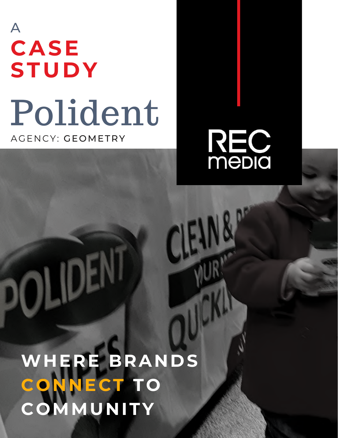## A **CASE STUDY** Polident AGENCY: GEOMETRY



**WHERE BRANDS CONNECT TO COMMUNITY**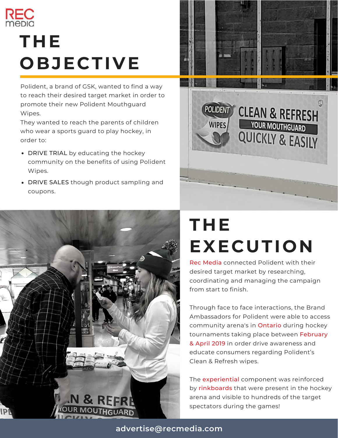

## **THE OBJECTIVE**

Polident, a brand of GSK, wanted to find a way to reach their desired target market in order to promote their new Polident Mouthguard Wipes.

They wanted to reach the parents of children who wear a sports guard to play hockey, in order to:

- DRIVE TRIAL by educating the hockey community on the benefits of using Polident Wipes.
- DRIVE SALES though product sampling and coupons.





## **THE EXECUTION**

Rec Media connected Polident with their desired target market by researching, coordinating and managing the campaign from start to finish.

Through face to face interactions, the Brand Ambassadors for Polident were able to access community arena's in Ontario during hockey tournaments taking place between February & April 2019 in order drive awareness and educate consumers regarding Polident's Clean & Refresh wipes.

The **experiential** component was reinforced by rinkboards that were present in the hockey arena and visible to hundreds of the target spectators during the games!